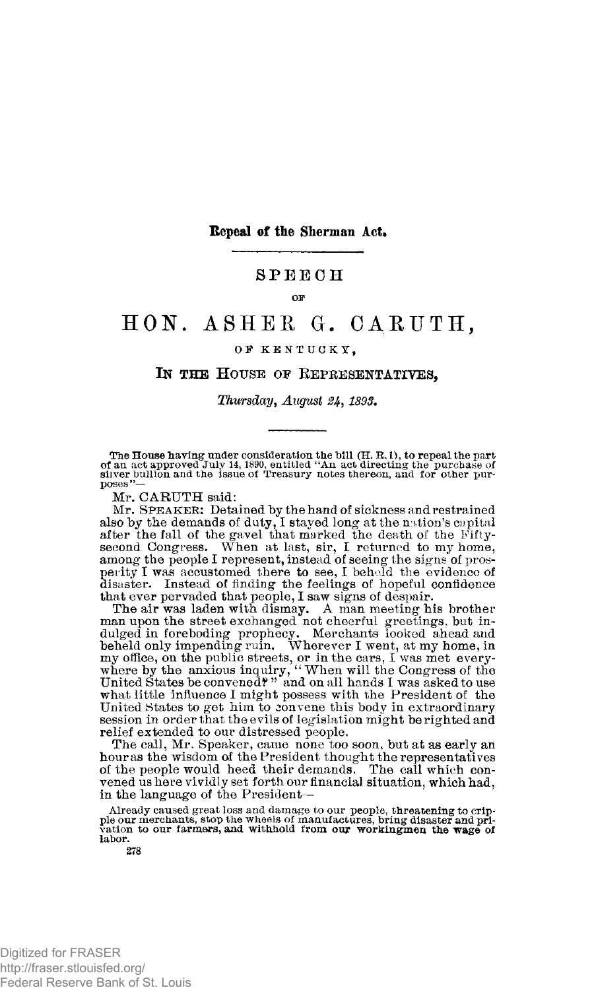**Repeal of the Sherman Act.** 

# **SPEEC H**

### **OF**

# **HON . ASHE S G. OARTJTH,**

## **O F KENTUCKY ,**

# **IN THE HOUSE OF REPRESENTATIVES,**

## *Thursday, August 1893.*

The House having under consideration the bill  $(H, R, 1)$ , to repeal the part of an act approved July 14, 1890, entitled "An act directing the purchase of sinver bullion and the issue of Treasury notes thereon, and for othe

Mr. CARUTH said:

Mr. SPEAKER: Detained by the hand of sickness and restrained also by the demands of duty, I stayed long at the nation's capital<br>after the fall of the gavel that marked the death of the Fifty-<br>second Congress. When at last, sir, I returned to my home,<br>among the people I represent, in perity I was accustomed there to see, I beheld the evidence of disaster. Instead of finding the feelings of hopeful confidence that ever pervaded that people, I saw signs of despair.

The air was laden with dismay. A man meeting his brother man upon the street exchanged not cheerful greetings, but in-dulged in foreboding prophecy. Merchants looked ahead and beheld only impending ruin. Wherever I went, at my home, in my office, on the public streets, or in the cars, I was met every-<br>where by the anxious inquiry, "When will the Congress of the<br>United States be convened?" and on all hands I was asked to use what little influence I might possess with the President of the United States to get him to convene this body in extraordinary session in order that the evils of legislation might be righted and relief extended to our distressed people.

The call, Mr. Speaker, came none too soon, but at as early an houras the wisdom of the President thought the representatives of the people would heed their demands. The call which convened us here vividly set forth our financial situation, which had, in the language of the President—

Already caused great loss and damage to our people, threatening to crip-<br>ple our merchants, stop the wheels of manufactures, bring disaster and pri-<br>vation to our farmers, and withhold from our workingmen the wage of **labor.** 

Digitized for FRASER http://fraser.stlouisfed.org/ Federal Reserve Bank of St. Louis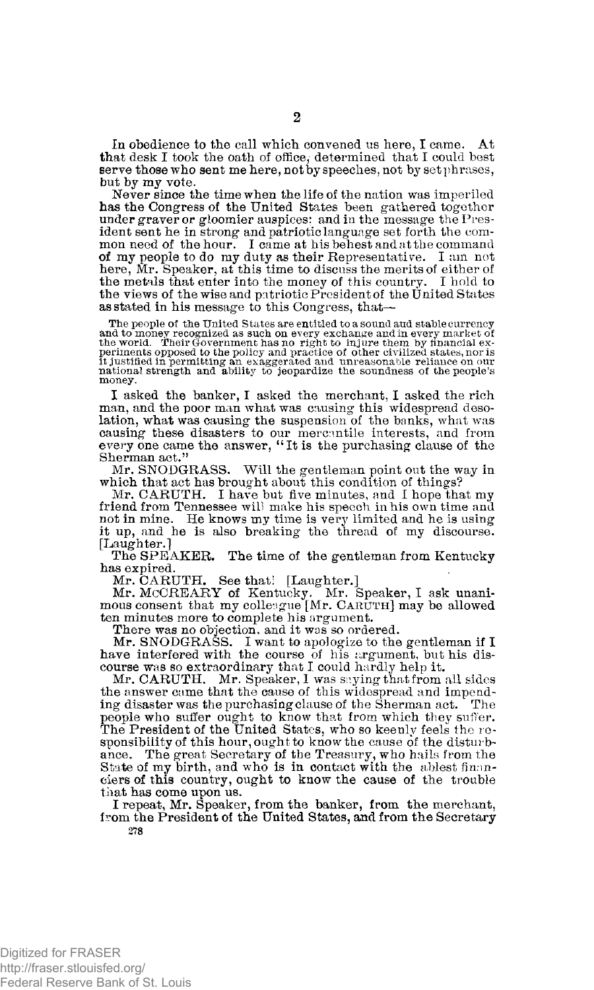In obedience to the call which convened us here, I came. At that desk I took the oath of office, determined that I could best serve those who sent me here, not by speeches, not by set phrases, but by my vote.

Never since the time when the life of the nation was imperiled has the Congress of the United States been gathered together under graver or gloomier auspices; and in the message the President sent he in strong and patriotic language set forth the common need of the hour. I came at his behest and at the command<br>of my people to do my duty as their Representative. I am not<br>here, Mr. Speaker, at this time to discuss the merits of either of<br>the metals that enter into the m the views of the wise and patriotic President of the United States as stated in his message to this Congress, that—

The people of the United States are entitled to a sound and stable currency and to money recognized as such on every exchange and in every market of<br>the world. Their Government has no right to injure them by financial ex-<br>periments opposed to the policy and practice of other civilized states, nor **money.** 

I asked the banker, I asked the merchant, I asked the rich man, and the poor man what was causing this widespread desolation, what was causing the suspension of the banks, what was causing these disasters to our mercantile interests, and from every one came the answer, "It is the purchasing clause of the Sherman act."

Mr. SNODGRASS. Will the gentleman point out the way in which that act has brought about this condition of things?

Mr. CARUTH. I have but five minutes, and I hope that my friend from Tennessee will make his speech in his own time and not in mine. He knows my time is very limited and he is using it up, and he is also breaking the thread of my discourse. [Laughter.]

The SPEAKER. The time of the gentleman from Kentucky has expired.

Mr. CARUTH. See that! [Laughter.] Mr. McCREARY of Kentucky. Mr. Speaker, I ask unanimous consent that my colleague [Mr. CARUTH] may be allowed ten minutes more to complete his argument.

There was no objection, and it was so ordered.

Mr. SNODGRASS. I want to apologize to the gentleman if I have interfered with the course of his argument, but his discourse was so extraordinary that I could hardly help it.

Mr. CARUTH. Mr. Speaker, 1 was saying that from all sides the answer came that the cause of this widespread and impending disaster was the purchasing clause of the Sherman act. The people who suffer ought to know that from which they suffer.<br>The President of the United States, who so keenly feels the responsibility of this hour, ought to know the cause of the disturbance. The great Secretary of the Treasury, who hails from the State of my birth, and who is in contact with the ablest financiers of this country, ought to know the cause of the trouble that has come upon us.

I repeat, Mr. Speaker, from the banker, from the merchant, from the President of the United States, and from the Secretary **278** 

Digitized for FRASER http://fraser.stlouisfed.org/ Federal Reserve Bank of St. Louis